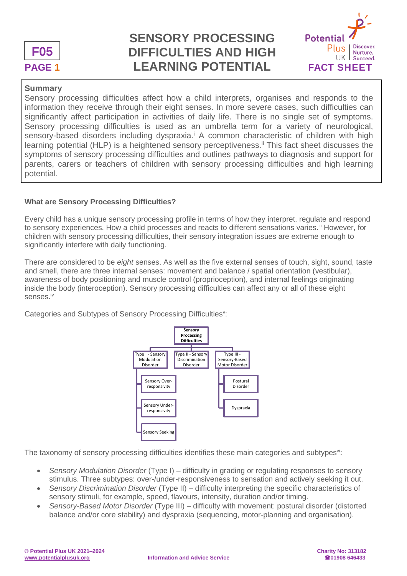

# **PAGE 1 LEARNING POTENTIAL FACT SHEET SENSORY PROCESSING DIFFICULTIES AND HIGH**



### **Summary**

Sensory processing difficulties affect how a child interprets, organises and responds to the information they receive through their eight senses. In more severe cases, such difficulties can significantly affect participation in activities of daily life. There is no single set of symptoms. Sensory processing difficulties is used as an umbrella term for a variety of neurological, sensory-based disorders including dyspraxia.<sup>i</sup> A common characteristic of children with high learning potential (HLP) is a heightened sensory perceptiveness.<sup>ii</sup> This fact sheet discusses the symptoms of sensory processing difficulties and outlines pathways to diagnosis and support for parents, carers or teachers of children with sensory processing difficulties and high learning potential.

### **What are Sensory Processing Difficulties?**

Every child has a unique sensory processing profile in terms of how they interpret, regulate and respond to sensory experiences. How a child processes and reacts to different sensations varies.<sup>iii</sup> However, for children with sensory processing difficulties, their sensory integration issues are extreme enough to significantly interfere with daily functioning.

There are considered to be *eight* senses. As well as the five external senses of touch, sight, sound, taste and smell, there are three internal senses: movement and balance / spatial orientation (vestibular), awareness of body positioning and muscle control (proprioception), and internal feelings originating inside the body (interoception). Sensory processing difficulties can affect any or all of these eight senses.iv

Categories and Subtypes of Sensory Processing Difficulties":



The taxonomy of sensory processing difficulties identifies these main categories and subtypes<sup>vi</sup>:

- *Sensory Modulation Disorder* (Type I) difficulty in grading or regulating responses to sensory stimulus. Three subtypes: over-/under-responsiveness to sensation and actively seeking it out.
- *Sensory Discrimination Disorder* (Type II) difficulty interpreting the specific characteristics of sensory stimuli, for example, speed, flavours, intensity, duration and/or timing.
- *Sensory-Based Motor Disorder* (Type III) difficulty with movement: postural disorder (distorted balance and/or core stability) and dyspraxia (sequencing, motor-planning and organisation).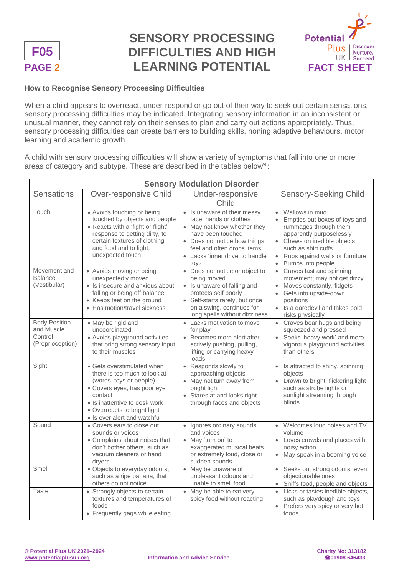

# **PAGE 2 LEARNING POTENTIAL** FACT SHEET **SENSORY PROCESSING DIFFICULTIES AND HIGH**



### **How to Recognise Sensory Processing Difficulties**

When a child appears to overreact, under-respond or go out of their way to seek out certain sensations, sensory processing difficulties may be indicated. Integrating sensory information in an inconsistent or unusual manner, they cannot rely on their senses to plan and carry out actions appropriately. Thus, sensory processing difficulties can create barriers to building skills, honing adaptive behaviours, motor learning and academic growth.

A child with sensory processing difficulties will show a variety of symptoms that fall into one or more areas of category and subtype. These are described in the tables below<sup>vii</sup>:

| <b>Sensory Modulation Disorder</b>                                |                                                                                                                                                                                                                                  |                                                                                                                                                                                                                    |                                                                                                                                                                                                                               |  |  |
|-------------------------------------------------------------------|----------------------------------------------------------------------------------------------------------------------------------------------------------------------------------------------------------------------------------|--------------------------------------------------------------------------------------------------------------------------------------------------------------------------------------------------------------------|-------------------------------------------------------------------------------------------------------------------------------------------------------------------------------------------------------------------------------|--|--|
| <b>Sensations</b>                                                 | Over-responsive Child                                                                                                                                                                                                            | Under-responsive<br>Child                                                                                                                                                                                          | <b>Sensory-Seeking Child</b>                                                                                                                                                                                                  |  |  |
| Touch                                                             | • Avoids touching or being<br>touched by objects and people<br>• Reacts with a 'fight or flight'<br>response to getting dirty, to<br>certain textures of clothing<br>and food and to light,<br>unexpected touch                  | • Is unaware of their messy<br>face, hands or clothes<br>• May not know whether they<br>have been touched<br>• Does not notice how things<br>feel and often drops items<br>• Lacks 'inner drive' to handle<br>toys | Wallows in mud<br>$\bullet$<br>Empties out boxes of toys and<br>rummages through them<br>apparently purposelessly<br>Chews on inedible objects<br>such as shirt cuffs<br>Rubs against walls or furniture<br>Bumps into people |  |  |
| Movement and<br><b>Balance</b><br>(Vestibular)                    | • Avoids moving or being<br>unexpectedly moved<br>• Is insecure and anxious about<br>falling or being off balance<br>• Keeps feet on the ground<br>• Has motion/travel sickness                                                  | • Does not notice or object to<br>being moved<br>• Is unaware of falling and<br>protects self poorly<br>Self-starts rarely, but once<br>on a swing, continues for<br>long spells without dizziness                 | Craves fast and spinning<br>$\bullet$<br>movement; may not get dizzy<br>Moves constantly, fidgets<br>Gets into upside-down<br>positions<br>• Is a daredevil and takes bold<br>risks physically                                |  |  |
| <b>Body Position</b><br>and Muscle<br>Control<br>(Proprioception) | • May be rigid and<br>uncoordinated<br>• Avoids playground activities<br>that bring strong sensory input<br>to their muscles                                                                                                     | Lacks motivation to move<br>$\bullet$<br>for play<br>Becomes more alert after<br>actively pushing, pulling,<br>lifting or carrying heavy<br>loads                                                                  | • Craves bear hugs and being<br>squeezed and pressed<br>Seeks 'heavy work' and more<br>vigorous playground activities<br>than others                                                                                          |  |  |
| Sight                                                             | • Gets overstimulated when<br>there is too much to look at<br>(words, toys or people)<br>• Covers eyes, has poor eye<br>contact<br>• Is inattentive to desk work<br>• Overreacts to bright light<br>• Is ever alert and watchful | Responds slowly to<br>$\bullet$<br>approaching objects<br>• May not turn away from<br>bright light<br>Stares at and looks right<br>through faces and objects                                                       | Is attracted to shiny, spinning<br>$\bullet$<br>objects<br>Drawn to bright, flickering light<br>$\bullet$<br>such as strobe lights or<br>sunlight streaming through<br>blinds                                                 |  |  |
| Sound                                                             | • Covers ears to close out<br>sounds or voices<br>• Complains about noises that<br>don't bother others, such as<br>vacuum cleaners or hand<br>dryers                                                                             | Ignores ordinary sounds<br>$\bullet$<br>and voices<br>• May 'turn on' to<br>exaggerated musical beats<br>or extremely loud, close or<br>sudden sounds                                                              | Welcomes loud noises and TV<br>volume<br>• Loves crowds and places with<br>noisy action<br>May speak in a booming voice<br>$\bullet$                                                                                          |  |  |
| Smell                                                             | · Objects to everyday odours,<br>such as a ripe banana, that<br>others do not notice                                                                                                                                             | May be unaware of<br>unpleasant odours and<br>unable to smell food                                                                                                                                                 | Seeks out strong odours, even<br>objectionable ones<br>Sniffs food, people and objects                                                                                                                                        |  |  |
| Taste                                                             | • Strongly objects to certain<br>textures and temperatures of<br>foods<br>• Frequently gags while eating                                                                                                                         | May be able to eat very<br>$\bullet$<br>spicy food without reacting                                                                                                                                                | Licks or tastes inedible objects,<br>such as playdough and toys<br>Prefers very spicy or very hot<br>foods                                                                                                                    |  |  |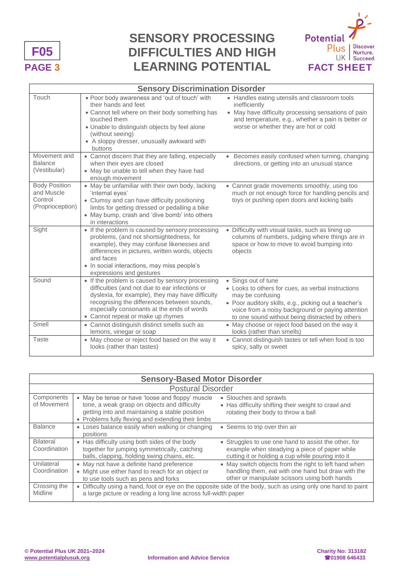

# **PAGE 3 LEARNING POTENTIAL FACT SHEET SENSORY PROCESSING DIFFICULTIES AND HIGH**



| <b>Sensory Discrimination Disorder</b>                            |                                                                                                                                                                                                                                                                                          |                                                                                                                                                                                                                                                                |  |  |
|-------------------------------------------------------------------|------------------------------------------------------------------------------------------------------------------------------------------------------------------------------------------------------------------------------------------------------------------------------------------|----------------------------------------------------------------------------------------------------------------------------------------------------------------------------------------------------------------------------------------------------------------|--|--|
| Touch                                                             | . Poor body awareness and 'out of touch' with<br>their hands and feet<br>• Cannot tell where on their body something has<br>touched them<br>• Unable to distinguish objects by feel alone<br>(without seeing)<br>• A sloppy dresser, unusually awkward with<br>buttons                   | • Handles eating utensils and classroom tools<br>inefficiently<br>• May have difficulty processing sensations of pain<br>and temperature, e.g., whether a pain is better or<br>worse or whether they are hot or cold                                           |  |  |
| Movement and<br><b>Balance</b><br>(Vestibular)                    | • Cannot discern that they are falling, especially<br>when their eyes are closed<br>• May be unable to tell when they have had<br>enough movement                                                                                                                                        | • Becomes easily confused when turning, changing<br>directions, or getting into an unusual stance                                                                                                                                                              |  |  |
| <b>Body Position</b><br>and Muscle<br>Control<br>(Proprioception) | • May be unfamiliar with their own body, lacking<br>'internal eyes'<br>• Clumsy and can have difficulty positioning<br>limbs for getting dressed or pedalling a bike<br>• May bump, crash and 'dive bomb' into others<br>in interactions                                                 | • Cannot grade movements smoothly, using too<br>much or not enough force for handling pencils and<br>toys or pushing open doors and kicking balls                                                                                                              |  |  |
| Sight                                                             | • If the problem is caused by sensory processing<br>problems, (and not shortsightedness, for<br>example), they may confuse likenesses and<br>differences in pictures, written words, objects<br>and faces<br>• In social interactions, may miss people's<br>expressions and gestures     | • Difficulty with visual tasks, such as lining up<br>columns of numbers, judging where things are in<br>space or how to move to avoid bumping into<br>objects                                                                                                  |  |  |
| Sound                                                             | • If the problem is caused by sensory processing<br>difficulties (and not due to ear infections or<br>dyslexia, for example), they may have difficulty<br>recognising the differences between sounds,<br>especially consonants at the ends of words<br>• Cannot repeat or make up rhymes | • Sings out of tune<br>• Looks to others for cues, as verbal instructions<br>may be confusing<br>• Poor auditory skills, e.g., picking out a teacher's<br>voice from a noisy background or paying attention<br>to one sound without being distracted by others |  |  |
| Smell                                                             | • Cannot distinguish distinct smells such as<br>lemons, vinegar or soap                                                                                                                                                                                                                  | • May choose or reject food based on the way it<br>looks (rather than smells)                                                                                                                                                                                  |  |  |
| <b>Taste</b>                                                      | • May choose or reject food based on the way it<br>looks (rather than tastes)                                                                                                                                                                                                            | • Cannot distinguish tastes or tell when food is too<br>spicy, salty or sweet                                                                                                                                                                                  |  |  |

| <b>Sensory-Based Motor Disorder</b> |                                                                                                                                                                                                          |                                                                                                                                                              |  |  |
|-------------------------------------|----------------------------------------------------------------------------------------------------------------------------------------------------------------------------------------------------------|--------------------------------------------------------------------------------------------------------------------------------------------------------------|--|--|
| <b>Postural Disorder</b>            |                                                                                                                                                                                                          |                                                                                                                                                              |  |  |
| Components<br>of Movement           | • May be tense or have 'loose and floppy' muscle<br>tone, a weak grasp on objects and difficulty<br>getting into and maintaining a stable position<br>• Problems fully flexing and extending their limbs | • Slouches and sprawls<br>• Has difficulty shifting their weight to crawl and<br>rotating their body to throw a ball                                         |  |  |
| <b>Balance</b>                      | • Loses balance easily when walking or changing<br>positions                                                                                                                                             | • Seems to trip over thin air                                                                                                                                |  |  |
| <b>Bilateral</b><br>Coordination    | • Has difficulty using both sides of the body<br>together for jumping symmetrically, catching<br>balls, clapping, holding swing chains, etc.                                                             | • Struggles to use one hand to assist the other, for<br>example when steadying a piece of paper while<br>cutting it or holding a cup while pouring into it   |  |  |
| Unilateral<br>Coordination          | • May not have a definite hand preference<br>• Might use either hand to reach for an object or<br>to use tools such as pens and forks                                                                    | • May switch objects from the right to left hand when<br>handling them, eat with one hand but draw with the<br>other or manipulate scissors using both hands |  |  |
| Crossing the<br>Midline             | • Difficulty using a hand, foot or eye on the opposite side of the body, such as using only one hand to paint<br>a large picture or reading a long line across full-width paper                          |                                                                                                                                                              |  |  |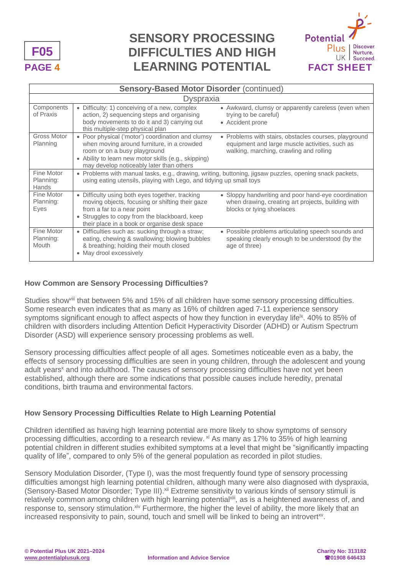

# **PAGE 4 LEARNING POTENTIAL** FACT SHEET **SENSORY PROCESSING DIFFICULTIES AND HIGH**



#### **Sensory-Based Motor Disorder** (continued) **Dyspraxia Components** of Praxis • Difficulty: 1) conceiving of a new, complex action, 2) sequencing steps and organising body movements to do it and 3) carrying out this multiple-step physical plan • Awkward, clumsy or apparently careless (even when trying to be careful) • Accident prone Gross Motor Planning • Poor physical ('motor') coordination and clumsy when moving around furniture, in a crowded room or on a busy playground • Ability to learn new motor skills (e.g., skipping) may develop noticeably later than others • Problems with stairs, obstacles courses, playground equipment and large muscle activities, such as walking, marching, crawling and rolling Fine Motor Planning: Hands • Problems with manual tasks, e.g., drawing, writing, buttoning, jigsaw puzzles, opening snack packets, using eating utensils, playing with Lego, and tidying up small toys Fine Motor Planning: Eyes • Difficulty using both eyes together, tracking moving objects, focusing or shifting their gaze from a far to a near point • Struggles to copy from the blackboard, keep their place in a book or organise desk space • Sloppy handwriting and poor hand-eye coordination when drawing, creating art projects, building with blocks or tying shoelaces Fine Motor Planning: Mouth • Difficulties such as: sucking through a straw; eating, chewing & swallowing; blowing bubbles & breathing; holding their mouth closed • May drool excessively • Possible problems articulating speech sounds and speaking clearly enough to be understood (by the age of three)

### **How Common are Sensory Processing Difficulties?**

Studies show<sup>viii</sup> that between 5% and 15% of all children have some sensory processing difficulties. Some research even indicates that as many as 16% of children aged 7-11 experience sensory symptoms significant enough to affect aspects of how they function in everyday life<sup>ix</sup>. 40% to 85% of children with disorders including Attention Deficit Hyperactivity Disorder (ADHD) or Autism Spectrum Disorder (ASD) will experience sensory processing problems as well.

Sensory processing difficulties affect people of all ages. Sometimes noticeable even as a baby, the effects of sensory processing difficulties are seen in young children, through the adolescent and young adult years<sup>x</sup> and into adulthood. The causes of sensory processing difficulties have not yet been established, although there are some indications that possible causes include heredity, prenatal conditions, birth trauma and environmental factors.

### **How Sensory Processing Difficulties Relate to High Learning Potential**

Children identified as having high learning potential are more likely to show symptoms of sensory processing difficulties, according to a research review. <sup>xi</sup> As many as 17% to 35% of high learning potential children in different studies exhibited symptoms at a level that might be "significantly impacting quality of life", compared to only 5% of the general population as recorded in pilot studies.

Sensory Modulation Disorder, (Type I), was the most frequently found type of sensory processing difficulties amongst high learning potential children, although many were also diagnosed with dyspraxia, (Sensory-Based Motor Disorder; Type III).<sup>xii</sup> Extreme sensitivity to various kinds of sensory stimuli is relatively common among children with high learning potential<sup>xiii</sup>, as is a heightened awareness of, and response to, sensory stimulation. Xiv Furthermore, the higher the level of ability, the more likely that an increased responsivity to pain, sound, touch and smell will be linked to being an introvert<sup>xv</sup>.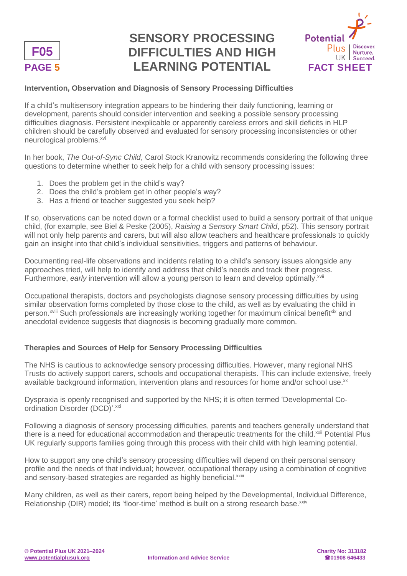

# **PAGE 5 LEARNING POTENTIAL FACT SHEET SENSORY PROCESSING DIFFICULTIES AND HIGH**



### **Intervention, Observation and Diagnosis of Sensory Processing Difficulties**

If a child's multisensory integration appears to be hindering their daily functioning, learning or development, parents should consider intervention and seeking a possible sensory processing difficulties diagnosis. Persistent inexplicable or apparently careless errors and skill deficits in HLP children should be carefully observed and evaluated for sensory processing inconsistencies or other neurological problems.<sup>xvi</sup>

In her book, *The Out-of-Sync Child*, Carol Stock Kranowitz recommends considering the following three questions to determine whether to seek help for a child with sensory processing issues:

- 1. Does the problem get in the child's way?
- 2. Does the child's problem get in other people's way?
- 3. Has a friend or teacher suggested you seek help?

If so, observations can be noted down or a formal checklist used to build a sensory portrait of that unique child, (for example, see Biel & Peske (2005), *Raising a Sensory Smart Child*, p52). This sensory portrait will not only help parents and carers, but will also allow teachers and healthcare professionals to quickly gain an insight into that child's individual sensitivities, triggers and patterns of behaviour.

Documenting real-life observations and incidents relating to a child's sensory issues alongside any approaches tried, will help to identify and address that child's needs and track their progress. Furthermore, *early* intervention will allow a young person to learn and develop optimally.<sup>xvii</sup>

Occupational therapists, doctors and psychologists diagnose sensory processing difficulties by using similar observation forms completed by those close to the child, as well as by evaluating the child in person.<sup>xviii</sup> Such professionals are increasingly working together for maximum clinical benefit<sup>xix</sup> and anecdotal evidence suggests that diagnosis is becoming gradually more common.

### **Therapies and Sources of Help for Sensory Processing Difficulties**

The NHS is cautious to acknowledge sensory processing difficulties. However, many regional NHS Trusts do actively support carers, schools and occupational therapists. This can include extensive, freely available background information, intervention plans and resources for home and/or school use.<sup>xx</sup>

Dyspraxia is openly recognised and supported by the NHS; it is often termed 'Developmental Coordination Disorder (DCD)'.xxi

Following a diagnosis of sensory processing difficulties, parents and teachers generally understand that there is a need for educational accommodation and therapeutic treatments for the child.<sup>xxii</sup> Potential Plus UK regularly supports families going through this process with their child with high learning potential.

How to support any one child's sensory processing difficulties will depend on their personal sensory profile and the needs of that individual; however, occupational therapy using a combination of cognitive and sensory-based strategies are regarded as highly beneficial.<sup>xxiii</sup>

Many children, as well as their carers, report being helped by the Developmental, Individual Difference, Relationship (DIR) model; its 'floor-time' method is built on a strong research base. XXIV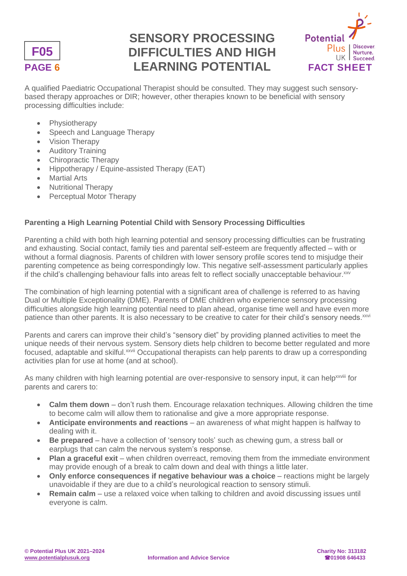

# **PAGE 6 LEARNING POTENTIAL** FACT SHEET **SENSORY PROCESSING DIFFICULTIES AND HIGH**



A qualified Paediatric Occupational Therapist should be consulted. They may suggest such sensorybased therapy approaches or DIR; however, other therapies known to be beneficial with sensory processing difficulties include:

- **Physiotherapy**
- Speech and Language Therapy
- Vision Therapy
- Auditory Training
- Chiropractic Therapy
- Hippotherapy / Equine-assisted Therapy (EAT)
- **Martial Arts**
- Nutritional Therapy
- Perceptual Motor Therapy

### **Parenting a High Learning Potential Child with Sensory Processing Difficulties**

Parenting a child with both high learning potential and sensory processing difficulties can be frustrating and exhausting. Social contact, family ties and parental self-esteem are frequently affected – with or without a formal diagnosis. Parents of children with lower sensory profile scores tend to misjudge their parenting competence as being correspondingly low. This negative self-assessment particularly applies if the child's challenging behaviour falls into areas felt to reflect socially unacceptable behaviour. xxv

The combination of high learning potential with a significant area of challenge is referred to as having Dual or Multiple Exceptionality (DME). Parents of DME children who experience sensory processing difficulties alongside high learning potential need to plan ahead, organise time well and have even more patience than other parents. It is also necessary to be creative to cater for their child's sensory needs.<sup>xxvi</sup>

Parents and carers can improve their child's "sensory diet" by providing planned activities to meet the unique needs of their nervous system. Sensory diets help children to become better regulated and more focused, adaptable and skilful.<sup>xxvii</sup> Occupational therapists can help parents to draw up a corresponding activities plan for use at home (and at school).

As many children with high learning potential are over-responsive to sensory input, it can help<sup>xxviii</sup> for parents and carers to:

- **Calm them down** don't rush them. Encourage relaxation techniques. Allowing children the time to become calm will allow them to rationalise and give a more appropriate response.
- **Anticipate environments and reactions** an awareness of what might happen is halfway to dealing with it.
- **Be prepared** have a collection of 'sensory tools' such as chewing gum, a stress ball or earplugs that can calm the nervous system's response.
- **Plan a graceful exit** when children overreact, removing them from the immediate environment may provide enough of a break to calm down and deal with things a little later.
- **Only enforce consequences if negative behaviour was a choice reactions might be largely** unavoidable if they are due to a child's neurological reaction to sensory stimuli.
- **Remain calm** use a relaxed voice when talking to children and avoid discussing issues until everyone is calm.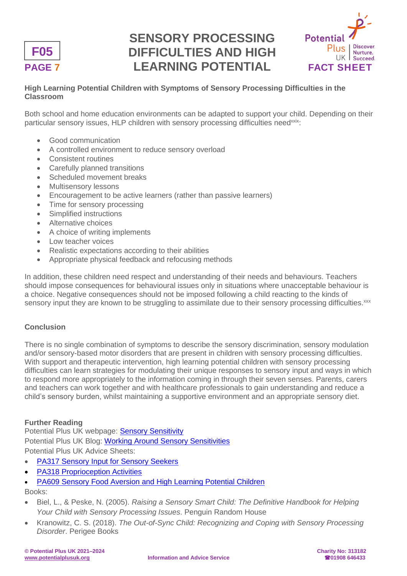

# **PAGE 7 LEARNING POTENTIAL FACT SHEET SENSORY PROCESSING DIFFICULTIES AND HIGH**



### **High Learning Potential Children with Symptoms of Sensory Processing Difficulties in the Classroom**

Both school and home education environments can be adapted to support your child. Depending on their particular sensory issues. HLP children with sensory processing difficulties need<sup>xxix</sup>:

- Good communication
- A controlled environment to reduce sensory overload
- Consistent routines
- Carefully planned transitions
- Scheduled movement breaks
- Multisensory lessons
- Encouragement to be active learners (rather than passive learners)
- Time for sensory processing
- Simplified instructions
- Alternative choices
- A choice of writing implements
- Low teacher voices
- Realistic expectations according to their abilities
- Appropriate physical feedback and refocusing methods

In addition, these children need respect and understanding of their needs and behaviours. Teachers should impose consequences for behavioural issues only in situations where unacceptable behaviour is a choice. Negative consequences should not be imposed following a child reacting to the kinds of sensory input they are known to be struggling to assimilate due to their sensory processing difficulties.<sup>xxx</sup>

### **Conclusion**

There is no single combination of symptoms to describe the sensory discrimination, sensory modulation and/or sensory-based motor disorders that are present in children with sensory processing difficulties. With support and therapeutic intervention, high learning potential children with sensory processing difficulties can learn strategies for modulating their unique responses to sensory input and ways in which to respond more appropriately to the information coming in through their seven senses. Parents, carers and teachers can work together and with healthcare professionals to gain understanding and reduce a child's sensory burden, whilst maintaining a supportive environment and an appropriate sensory diet.

### **Further Reading**

Potential Plus UK webpage: [Sensory Sensitivity](https://potentialplusuk.org/index.php/common-difficulties/sensory-sensitivity/) Potential Plus UK Blog: [Working Around Sensory Sensitivities](https://potentialplusuk.org/index.php/2018/07/16/working-around-sensory-sensitivities/) Potential Plus UK Advice Sheets:

- [PA317 Sensory Input for Sensory Seekers](https://potentialplusuk.org/index.php/product/pa317-sensory-input-for-sensory-seekers/)
- **[PA318 Proprioception Activities](https://potentialplusuk.org/index.php/product/pa318-proprioception-activities/)**
- [PA609 Sensory Food Aversion and High Learning Potential Children](https://potentialplusuk.org/index.php/product/pa609-sensory-food-aversion-high-learning-potential-children/)

Books:

- Biel, L., & Peske, N. (2005). *Raising a Sensory Smart Child: The Definitive Handbook for Helping Your Child with Sensory Processing Issues*. Penguin Random House
- Kranowitz, C. S. (2018). *The Out-of-Sync Child: Recognizing and Coping with Sensory Processing Disorder*. Perigee Books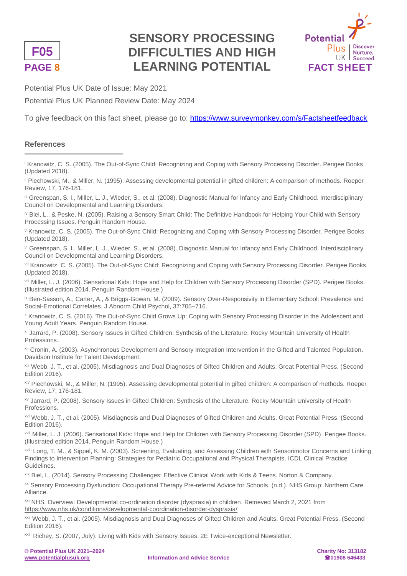

# **PAGE 8 LEARNING POTENTIAL** FACT SHEET **SENSORY PROCESSING DIFFICULTIES AND HIGH**



Potential Plus UK Date of Issue: May 2021

Potential Plus UK Planned Review Date: May 2024

To give feedback on this fact sheet, please go to:<https://www.surveymonkey.com/s/Factsheetfeedback>

### **References**

<sup>i</sup> Kranowitz, C. S. (2005). The Out-of-Sync Child: Recognizing and Coping with Sensory Processing Disorder. Perigee Books. (Updated 2018).

ii Piechowski, M., & Miller, N. (1995). Assessing developmental potential in gifted children: A comparison of methods. Roeper Review, 17, 176-181.

iii Greenspan, S. I., Miller, L. J., Wieder, S., et al. (2008). Diagnostic Manual for Infancy and Early Childhood. Interdisciplinary Council on Developmental and Learning Disorders.

iv Biel, L., & Peske, N. (2005). Raising a Sensory Smart Child: The Definitive Handbook for Helping Your Child with Sensory Processing Issues. Penguin Random House.

<sup>v</sup> Kranowitz, C. S. (2005). The Out-of-Sync Child: Recognizing and Coping with Sensory Processing Disorder. Perigee Books. (Updated 2018).

vi Greenspan, S. I., Miller, L. J., Wieder, S., et al. (2008). Diagnostic Manual for Infancy and Early Childhood. Interdisciplinary Council on Developmental and Learning Disorders.

vii Kranowitz, C. S. (2005). The Out-of-Sync Child: Recognizing and Coping with Sensory Processing Disorder. Perigee Books. (Updated 2018).

viii Miller, L. J. (2006). Sensational Kids: Hope and Help for Children with Sensory Processing Disorder (SPD). Perigee Books. (Illustrated edition 2014. Penguin Random House.)

ix Ben-Sasson, A., Carter, A., & Briggs-Gowan, M. (2009). Sensory Over-Responsivity in Elementary School: Prevalence and Social-Emotional Correlates. J Abnorm Child Psychol, 37:705–716.

<sup>x</sup> Kranowitz, C. S. (2016). The Out-of-Sync Child Grows Up: Coping with Sensory Processing Disorder in the Adolescent and Young Adult Years. Penguin Random House.

xi Jarrard, P. (2008). Sensory Issues in Gifted Children: Synthesis of the Literature. Rocky Mountain University of Health Professions.

xii Cronin, A. (2003). Asynchronous Development and Sensory Integration Intervention in the Gifted and Talented Population. Davidson Institute for Talent Development.

xiii Webb, J. T., et al. (2005). Misdiagnosis and Dual Diagnoses of Gifted Children and Adults. Great Potential Press. (Second Edition 2016).

xiv Piechowski, M., & Miller, N. (1995). Assessing developmental potential in gifted children: A comparison of methods. Roeper Review, 17, 176-181.

xv Jarrard, P. (2008). Sensory Issues in Gifted Children: Synthesis of the Literature. Rocky Mountain University of Health Professions.

xvi Webb, J. T., et al. (2005). Misdiagnosis and Dual Diagnoses of Gifted Children and Adults. Great Potential Press. (Second Edition 2016).

xvii Miller, L. J. (2006). Sensational Kids: Hope and Help for Children with Sensory Processing Disorder (SPD). Perigee Books. (Illustrated edition 2014. Penguin Random House.)

xviii Long, T. M., & Sippel, K. M. (2003). Screening, Evaluating, and Assessing Children with Sensorimotor Concerns and Linking Findings to Intervention Planning: Strategies for Pediatric Occupational and Physical Therapists. ICDL Clinical Practice Guidelines.

xix Biel, L. (2014). Sensory Processing Challenges: Effective Clinical Work with Kids & Teens. Norton & Company.

xx Sensory Processing Dysfunction: Occupational Therapy Pre-referral Advice for Schools. (n.d.). NHS Group: Northern Care Alliance.

xxi NHS. Overview: Developmental co-ordination disorder (dyspraxia) in children. Retrieved March 2, 2021 from <https://www.nhs.uk/conditions/developmental-coordination-disorder-dyspraxia/>

xxii Webb, J. T., et al. (2005). Misdiagnosis and Dual Diagnoses of Gifted Children and Adults. Great Potential Press. (Second Edition 2016).

xxiii Richey, S. (2007, July). Living with Kids with Sensory Issues. 2E Twice-exceptional Newsletter.